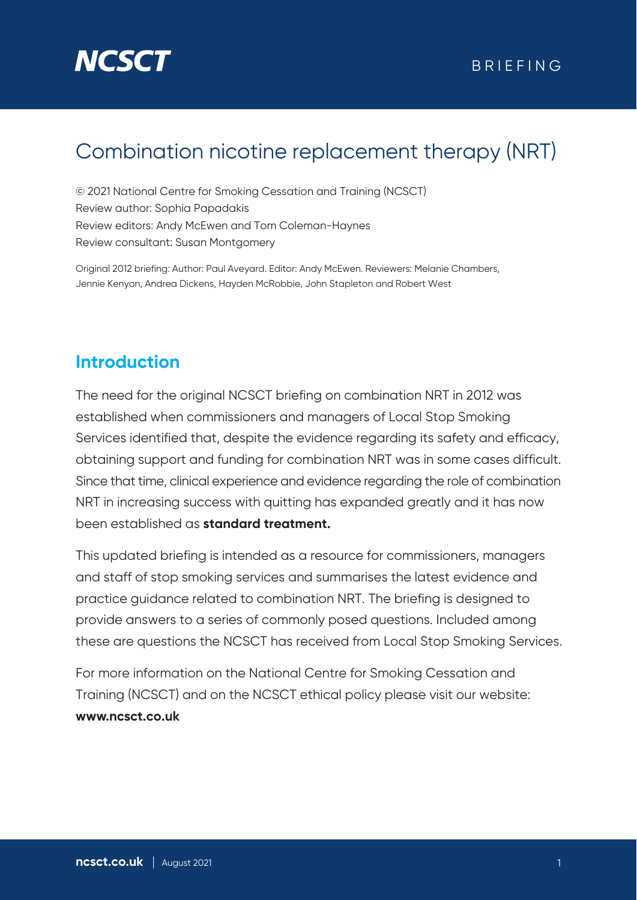# **NCSC**

### Combination nicotine replacement therapy (NRT)

© 2021 National Centre for Smoking Cessation and Training (NCSCT) Review author: Sophia Papadakis Review editors: Andy McEwen and Tom Coleman-Haynes Review consultant: Susan Montgomery

Original 2012 briefing: Author: Paul Aveyard. Editor: Andy McEwen. Reviewers: Melanie Chambers, Jennie Kenyon, Andrea Dickens, Hayden McRobbie, John Stapleton and Robert West

### **Introduction**

The need for the original NCSCT briefing on combination NRT in 2012 was established when commissioners and managers of Local Stop Smoking Services identified that, despite the evidence regarding its safety and efficacy, obtaining support and funding for combination NRT was in some cases difficult. Since that time, clinical experience and evidence regarding the role of combination NRT in increasing success with quitting has expanded greatly and it has now been established as **standard treatment.**

This updated briefing is intended as a resource for commissioners, managers and staff of stop smoking services and summarises the latest evidence and practice guidance related to combination NRT. The briefing is designed to provide answers to a series of commonly posed questions. Included among these are questions the NCSCT has received from Local Stop Smoking Services.

For more information on the National Centre for Smoking Cessation and Training (NCSCT) and on the NCSCT ethical policy please visit our website: **www.ncsct.co.uk**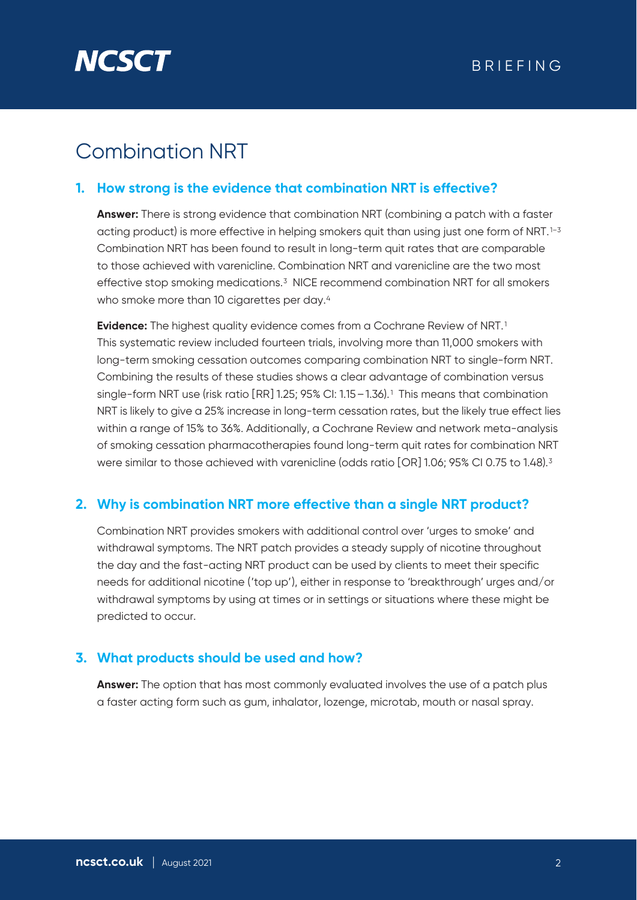

## Combination NRT

#### **1. How strong is the evidence that combination NRT is effective?**

**Answer:** There is strong evidence that combination NRT (combining a patch with a faster acting product) is more effective in helping smokers quit than using just one form of NRT.<sup>1-3</sup> Combination NRT has been found to result in long-term quit rates that are comparable to those achieved with varenicline. Combination NRT and varenicline are the two most effective stop smoking medications.3 NICE recommend combination NRT for all smokers who smoke more than 10 cigarettes per day.<sup>4</sup>

**Evidence:** The highest quality evidence comes from a Cochrane Review of NRT.<sup>1</sup> This systematic review included fourteen trials, involving more than 11,000 smokers with long-term smoking cessation outcomes comparing combination NRT to single-form NRT. Combining the results of these studies shows a clear advantage of combination versus single-form NRT use (risk ratio [RR] 1.25; 95% CI: 1.15–1.36).1 This means that combination NRT is likely to give a 25% increase in long-term cessation rates, but the likely true effect lies within a range of 15% to 36%. Additionally, a Cochrane Review and network meta-analysis of smoking cessation pharmacotherapies found long-term quit rates for combination NRT were similar to those achieved with varenicline (odds ratio [OR] 1.06; 95% CI 0.75 to 1.48).<sup>3</sup>

#### **2. Why is combination NRT more effective than a single NRT product?**

Combination NRT provides smokers with additional control over 'urges to smoke' and withdrawal symptoms. The NRT patch provides a steady supply of nicotine throughout the day and the fast-acting NRT product can be used by clients to meet their specific needs for additional nicotine ('top up'), either in response to 'breakthrough' urges and/or withdrawal symptoms by using at times or in settings or situations where these might be predicted to occur.

#### **3. What products should be used and how?**

**Answer:** The option that has most commonly evaluated involves the use of a patch plus a faster acting form such as gum, inhalator, lozenge, microtab, mouth or nasal spray.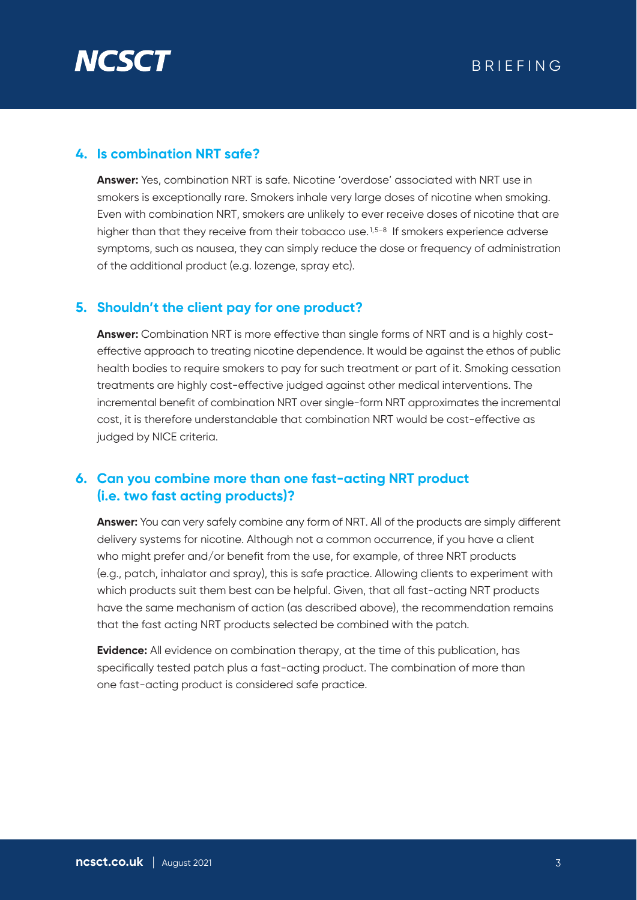

#### **4. Is combination NRT safe?**

**Answer:** Yes, combination NRT is safe. Nicotine 'overdose' associated with NRT use in smokers is exceptionally rare. Smokers inhale very large doses of nicotine when smoking. Even with combination NRT, smokers are unlikely to ever receive doses of nicotine that are higher than that they receive from their tobacco use.<sup>1,5-8</sup> If smokers experience adverse symptoms, such as nausea, they can simply reduce the dose or frequency of administration of the additional product (e.g. lozenge, spray etc).

#### **5. Shouldn't the client pay for one product?**

**Answer:** Combination NRT is more effective than single forms of NRT and is a highly costeffective approach to treating nicotine dependence. It would be against the ethos of public health bodies to require smokers to pay for such treatment or part of it. Smoking cessation treatments are highly cost-effective judged against other medical interventions. The incremental benefit of combination NRT over single-form NRT approximates the incremental cost, it is therefore understandable that combination NRT would be cost-effective as judged by NICE criteria.

#### **6. Can you combine more than one fast-acting NRT product (i.e. two fast acting products)?**

**Answer:** You can very safely combine any form of NRT. All of the products are simply different delivery systems for nicotine. Although not a common occurrence, if you have a client who might prefer and/or benefit from the use, for example, of three NRT products (e.g., patch, inhalator and spray), this is safe practice. Allowing clients to experiment with which products suit them best can be helpful. Given, that all fast-acting NRT products have the same mechanism of action (as described above), the recommendation remains that the fast acting NRT products selected be combined with the patch.

**Evidence:** All evidence on combination therapy, at the time of this publication, has specifically tested patch plus a fast-acting product. The combination of more than one fast-acting product is considered safe practice.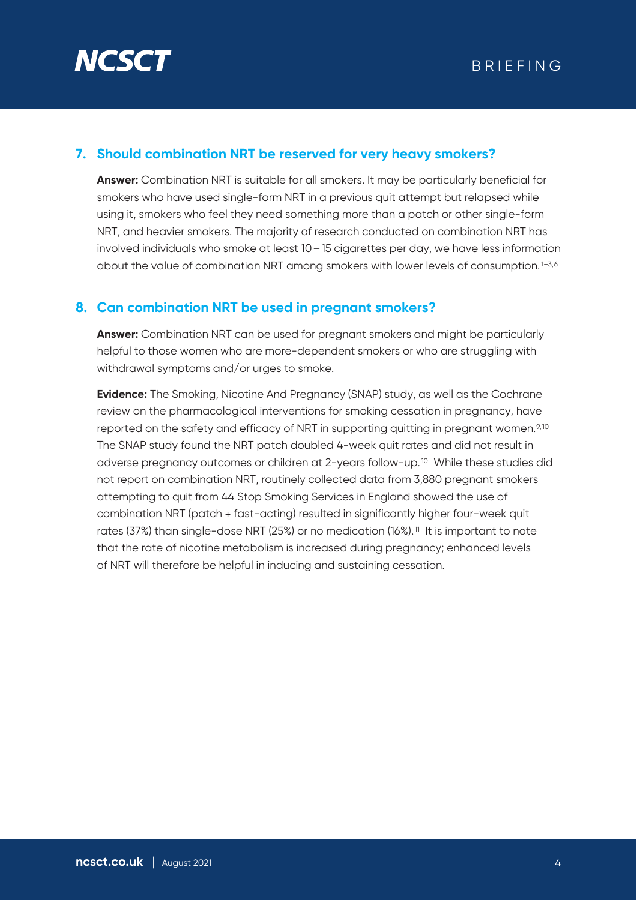

#### **7. Should combination NRT be reserved for very heavy smokers?**

**Answer:** Combination NRT is suitable for all smokers. It may be particularly beneficial for smokers who have used single-form NRT in a previous quit attempt but relapsed while using it, smokers who feel they need something more than a patch or other single-form NRT, and heavier smokers. The majority of research conducted on combination NRT has involved individuals who smoke at least 10–15 cigarettes per day, we have less information about the value of combination NRT among smokers with lower levels of consumption.<sup>1-3,6</sup>

#### **8. Can combination NRT be used in pregnant smokers?**

**Answer:** Combination NRT can be used for pregnant smokers and might be particularly helpful to those women who are more-dependent smokers or who are struggling with withdrawal symptoms and/or urges to smoke.

**Evidence:** The Smoking, Nicotine And Pregnancy (SNAP) study, as well as the Cochrane review on the pharmacological interventions for smoking cessation in pregnancy, have reported on the safety and efficacy of NRT in supporting quitting in pregnant women.9,10 The SNAP study found the NRT patch doubled 4-week quit rates and did not result in adverse pregnancy outcomes or children at 2-years follow-up.10 While these studies did not report on combination NRT, routinely collected data from 3,880 pregnant smokers attempting to quit from 44 Stop Smoking Services in England showed the use of combination NRT (patch + fast-acting) resulted in significantly higher four-week quit rates (37%) than single-dose NRT (25%) or no medication (16%).<sup>11</sup> It is important to note that the rate of nicotine metabolism is increased during pregnancy; enhanced levels of NRT will therefore be helpful in inducing and sustaining cessation.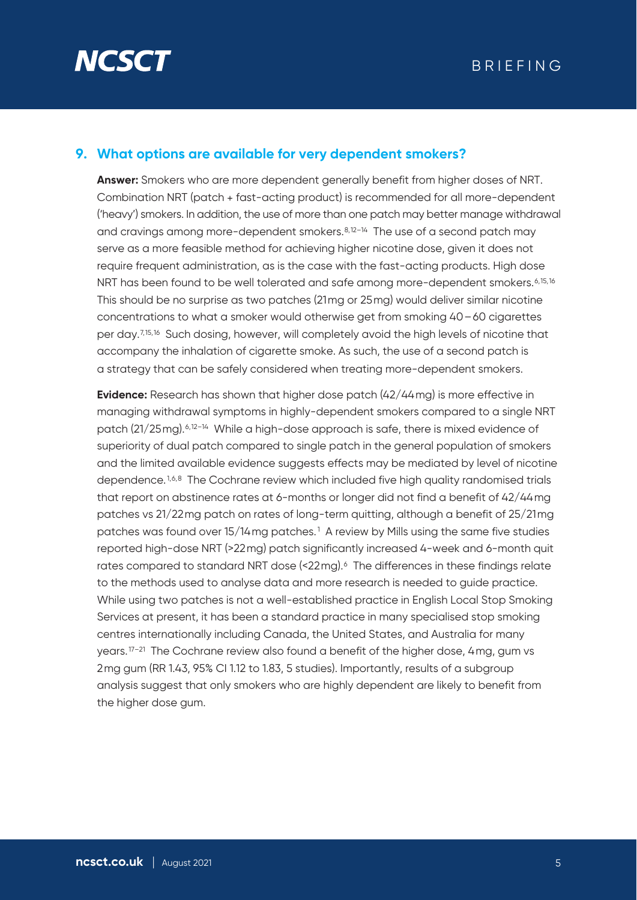

#### **9. What options are available for very dependent smokers?**

**Answer:** Smokers who are more dependent generally benefit from higher doses of NRT. Combination NRT (patch + fast-acting product) is recommended for all more-dependent ('heavy') smokers. In addition, the use of more than one patch may better manage withdrawal and cravings among more-dependent smokers. $8,12-14$  The use of a second patch may serve as a more feasible method for achieving higher nicotine dose, given it does not require frequent administration, as is the case with the fast-acting products. High dose NRT has been found to be well tolerated and safe among more-dependent smokers.<sup>6,15,16</sup> This should be no surprise as two patches (21mg or 25mg) would deliver similar nicotine concentrations to what a smoker would otherwise get from smoking 40–60 cigarettes per day.<sup>7,15,16</sup> Such dosing, however, will completely avoid the high levels of nicotine that accompany the inhalation of cigarette smoke. As such, the use of a second patch is a strategy that can be safely considered when treating more-dependent smokers.

**Evidence:** Research has shown that higher dose patch (42/44mg) is more effective in managing withdrawal symptoms in highly-dependent smokers compared to a single NRT patch (21/25mg).6,12–14 While a high-dose approach is safe, there is mixed evidence of superiority of dual patch compared to single patch in the general population of smokers and the limited available evidence suggests effects may be mediated by level of nicotine dependence.<sup>1,6,8</sup> The Cochrane review which included five high quality randomised trials that report on abstinence rates at 6-months or longer did not find a benefit of 42/44mg patches vs 21/22mg patch on rates of long-term quitting, although a benefit of 25/21mg patches was found over 15/14mg patches.1 A review by Mills using the same five studies reported high-dose NRT (>22mg) patch significantly increased 4-week and 6-month quit rates compared to standard NRT dose (<22mg).<sup>6</sup> The differences in these findings relate to the methods used to analyse data and more research is needed to guide practice. While using two patches is not a well-established practice in English Local Stop Smoking Services at present, it has been a standard practice in many specialised stop smoking centres internationally including Canada, the United States, and Australia for many years.17–21 The Cochrane review also found a benefit of the higher dose, 4mg, gum vs 2mg gum (RR 1.43, 95% CI 1.12 to 1.83, 5 studies). Importantly, results of a subgroup analysis suggest that only smokers who are highly dependent are likely to benefit from the higher dose gum.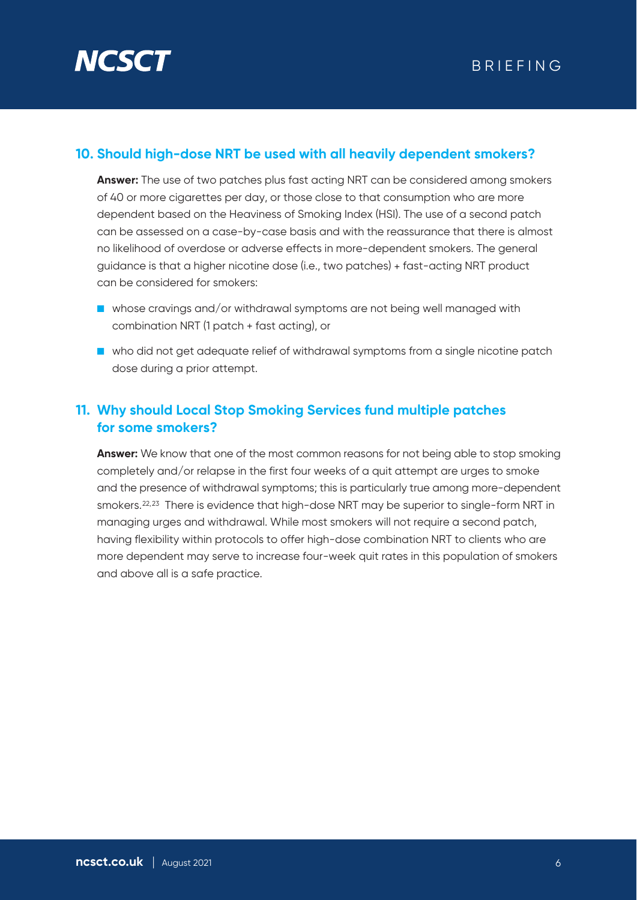

#### **10. Should high-dose NRT be used with all heavily dependent smokers?**

**Answer:** The use of two patches plus fast acting NRT can be considered among smokers of 40 or more cigarettes per day, or those close to that consumption who are more dependent based on the Heaviness of Smoking Index (HSI). The use of a second patch can be assessed on a case-by-case basis and with the reassurance that there is almost no likelihood of overdose or adverse effects in more-dependent smokers. The general guidance is that a higher nicotine dose (i.e., two patches) + fast-acting NRT product can be considered for smokers:

- whose cravings and/or withdrawal symptoms are not being well managed with combination NRT (1 patch + fast acting), or
- who did not get adequate relief of withdrawal symptoms from a single nicotine patch dose during a prior attempt.

#### **11. Why should Local Stop Smoking Services fund multiple patches for some smokers?**

**Answer:** We know that one of the most common reasons for not being able to stop smoking completely and/or relapse in the first four weeks of a quit attempt are urges to smoke and the presence of withdrawal symptoms; this is particularly true among more-dependent smokers.<sup>22,23</sup> There is evidence that high-dose NRT may be superior to single-form NRT in managing urges and withdrawal. While most smokers will not require a second patch, having flexibility within protocols to offer high-dose combination NRT to clients who are more dependent may serve to increase four-week quit rates in this population of smokers and above all is a safe practice.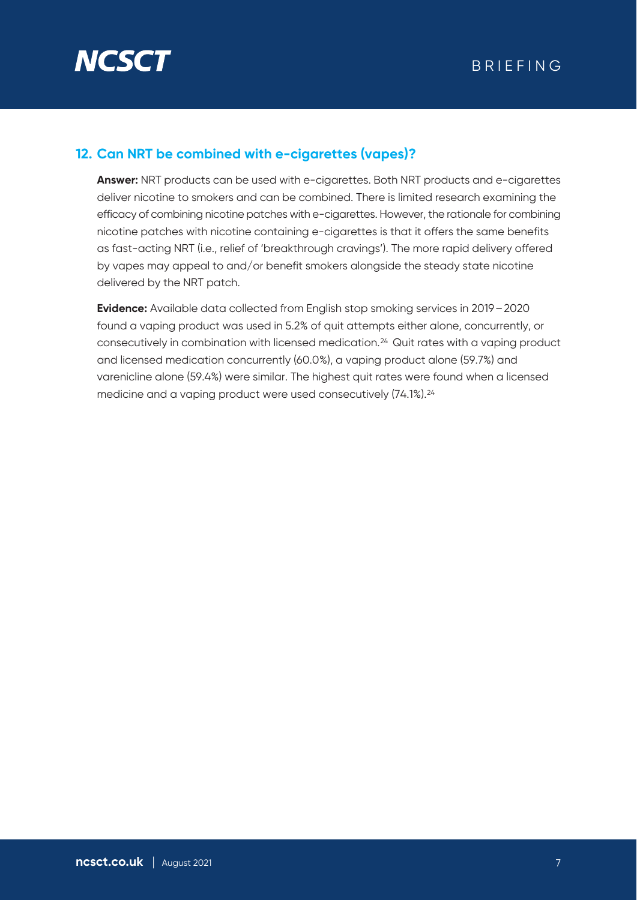

#### **12. Can NRT be combined with e-cigarettes (vapes)?**

**Answer:** NRT products can be used with e-cigarettes. Both NRT products and e-cigarettes deliver nicotine to smokers and can be combined. There is limited research examining the efficacy of combining nicotine patches with e-cigarettes. However, the rationale for combining nicotine patches with nicotine containing e-cigarettes is that it offers the same benefits as fast-acting NRT (i.e., relief of 'breakthrough cravings'). The more rapid delivery offered by vapes may appeal to and/or benefit smokers alongside the steady state nicotine delivered by the NRT patch.

**Evidence:** Available data collected from English stop smoking services in 2019–2020 found a vaping product was used in 5.2% of quit attempts either alone, concurrently, or consecutively in combination with licensed medication.24 Quit rates with a vaping product and licensed medication concurrently (60.0%), a vaping product alone (59.7%) and varenicline alone (59.4%) were similar. The highest quit rates were found when a licensed medicine and a vaping product were used consecutively (74.1%).<sup>24</sup>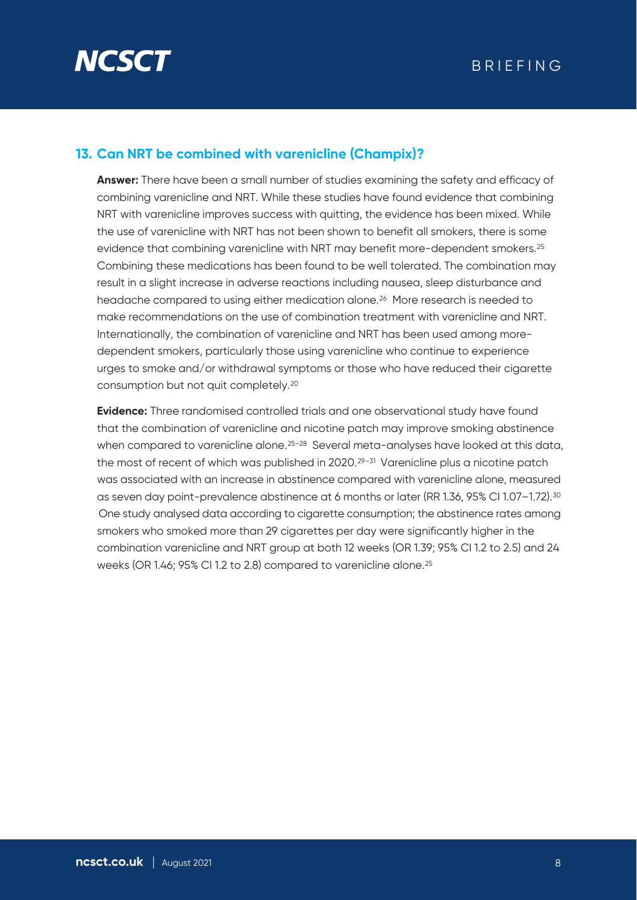

#### **13. Can NRT be combined with varenicline (Champix)?**

**Answer:** There have been a small number of studies examining the safety and efficacy of combining varenicline and NRT. While these studies have found evidence that combining NRT with varenicline improves success with quitting, the evidence has been mixed. While the use of varenicline with NRT has not been shown to benefit all smokers, there is some evidence that combining varenicline with NRT may benefit more-dependent smokers.25 Combining these medications has been found to be well tolerated. The combination may result in a slight increase in adverse reactions including nausea, sleep disturbance and headache compared to using either medication alone.26 More research is needed to make recommendations on the use of combination treatment with varenicline and NRT. Internationally, the combination of varenicline and NRT has been used among moredependent smokers, particularly those using varenicline who continue to experience urges to smoke and/or withdrawal symptoms or those who have reduced their cigarette consumption but not quit completely.20

**Evidence:** Three randomised controlled trials and one observational study have found that the combination of varenicline and nicotine patch may improve smoking abstinence when compared to varenicline alone.<sup>25-28</sup> Several meta-analyses have looked at this data, the most of recent of which was published in  $2020.^{29-31}$  Varenicline plus a nicotine patch was associated with an increase in abstinence compared with varenicline alone, measured as seven day point-prevalence abstinence at 6 months or later (RR 1.36, 95% CI 1.07-1.72).<sup>30</sup> One study analysed data according to cigarette consumption; the abstinence rates among smokers who smoked more than 29 cigarettes per day were significantly higher in the combination varenicline and NRT group at both 12 weeks (OR 1.39; 95% CI 1.2 to 2.5) and 24 weeks (OR 1.46; 95% CI 1.2 to 2.8) compared to varenicline alone.25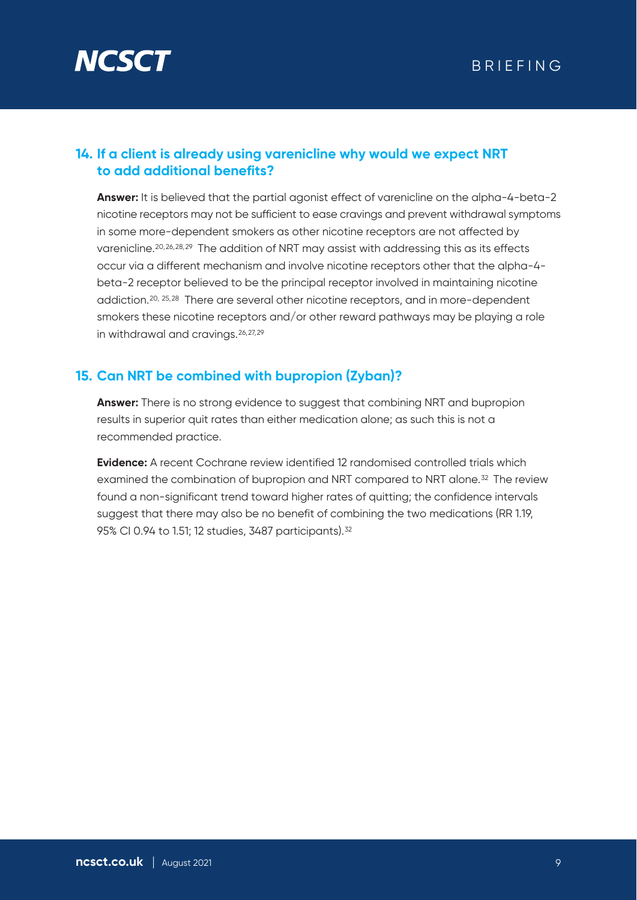

#### **14. If a client is already using varenicline why would we expect NRT to add additional benefits?**

**Answer:** It is believed that the partial agonist effect of varenicline on the alpha-4-beta-2 nicotine receptors may not be sufficient to ease cravings and prevent withdrawal symptoms in some more-dependent smokers as other nicotine receptors are not affected by varenicline.20,26,28,29 The addition of NRT may assist with addressing this as its effects occur via a different mechanism and involve nicotine receptors other that the alpha-4 beta-2 receptor believed to be the principal receptor involved in maintaining nicotine addiction.20, 25,28 There are several other nicotine receptors, and in more-dependent smokers these nicotine receptors and/or other reward pathways may be playing a role in withdrawal and cravings.26,27,29

#### **15. Can NRT be combined with bupropion (Zyban)?**

**Answer:** There is no strong evidence to suggest that combining NRT and bupropion results in superior quit rates than either medication alone; as such this is not a recommended practice.

**Evidence:** A recent Cochrane review identified 12 randomised controlled trials which examined the combination of bupropion and NRT compared to NRT alone.32 The review found a non-significant trend toward higher rates of quitting; the confidence intervals suggest that there may also be no benefit of combining the two medications (RR 1.19, 95% CI 0.94 to 1.51; 12 studies, 3487 participants).32